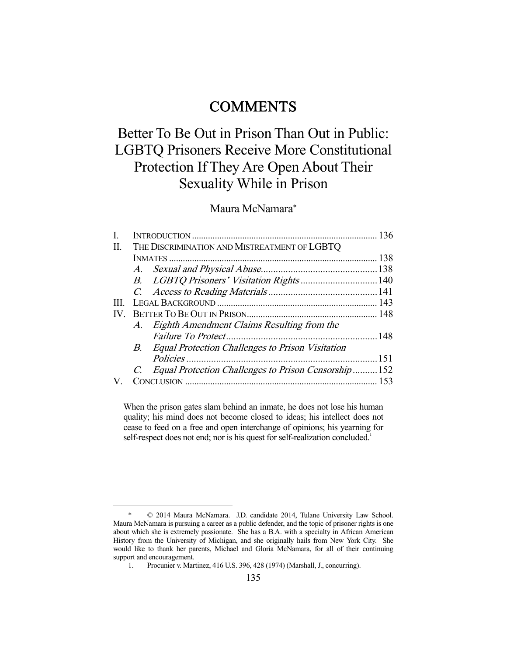## **COMMENTS**

# Better To Be Out in Prison Than Out in Public: LGBTQ Prisoners Receive More Constitutional Protection If They Are Open About Their Sexuality While in Prison

Maura McNamara\*

| П.   | THE DISCRIMINATION AND MISTREATMENT OF LGBTQ |                                                     |  |
|------|----------------------------------------------|-----------------------------------------------------|--|
|      |                                              |                                                     |  |
|      |                                              |                                                     |  |
|      |                                              |                                                     |  |
|      |                                              |                                                     |  |
| III. |                                              |                                                     |  |
| IV.  |                                              |                                                     |  |
|      |                                              | A. Eighth Amendment Claims Resulting from the       |  |
|      |                                              |                                                     |  |
|      |                                              | B. Equal Protection Challenges to Prison Visitation |  |
|      |                                              |                                                     |  |
|      |                                              | Equal Protection Challenges to Prison Censorship152 |  |
|      |                                              |                                                     |  |
|      |                                              |                                                     |  |

When the prison gates slam behind an inmate, he does not lose his human quality; his mind does not become closed to ideas; his intellect does not cease to feed on a free and open interchange of opinions; his yearning for self-respect does not end; nor is his quest for self-realization concluded.<sup>1</sup>

 <sup>\* © 2014</sup> Maura McNamara. J.D. candidate 2014, Tulane University Law School. Maura McNamara is pursuing a career as a public defender, and the topic of prisoner rights is one about which she is extremely passionate. She has a B.A. with a specialty in African American History from the University of Michigan, and she originally hails from New York City. She would like to thank her parents, Michael and Gloria McNamara, for all of their continuing support and encouragement.

 <sup>1.</sup> Procunier v. Martinez, 416 U.S. 396, 428 (1974) (Marshall, J., concurring).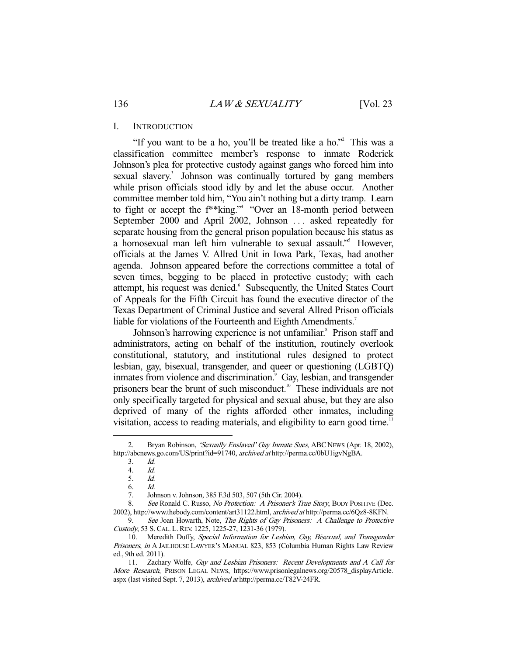#### I. INTRODUCTION

"If you want to be a ho, you'll be treated like a ho."<sup>2</sup> This was a classification committee member's response to inmate Roderick Johnson's plea for protective custody against gangs who forced him into sexual slavery.<sup>3</sup> Johnson was continually tortured by gang members while prison officials stood idly by and let the abuse occur. Another committee member told him, "You ain't nothing but a dirty tramp. Learn to fight or accept the f\*\*king."4 "Over an 18-month period between September 2000 and April 2002, Johnson ... asked repeatedly for separate housing from the general prison population because his status as a homosexual man left him vulnerable to sexual assault."<sup>5</sup> However, officials at the James V. Allred Unit in Iowa Park, Texas, had another agenda. Johnson appeared before the corrections committee a total of seven times, begging to be placed in protective custody; with each attempt, his request was denied. Subsequently, the United States Court of Appeals for the Fifth Circuit has found the executive director of the Texas Department of Criminal Justice and several Allred Prison officials liable for violations of the Fourteenth and Eighth Amendments.<sup>7</sup>

Johnson's harrowing experience is not unfamiliar.<sup>8</sup> Prison staff and administrators, acting on behalf of the institution, routinely overlook constitutional, statutory, and institutional rules designed to protect lesbian, gay, bisexual, transgender, and queer or questioning (LGBTQ) inmates from violence and discrimination.<sup>9</sup> Gay, lesbian, and transgender prisoners bear the brunt of such misconduct.<sup>10</sup> These individuals are not only specifically targeted for physical and sexual abuse, but they are also deprived of many of the rights afforded other inmates, including visitation, access to reading materials, and eligibility to earn good time.<sup>11</sup>

<sup>2.</sup> Bryan Robinson, 'Sexually Enslaved' Gay Inmate Sues, ABC NEWS (Apr. 18, 2002), http://abcnews.go.com/US/print?id=91740, archived at http://perma.cc/0bU1igvNgBA.

<sup>3.</sup> *Id.*<br>4. *Id.* 

<sup>4.</sup> *Id.*<br>5. *Id.* 

Id.

 <sup>6.</sup> Id.

 <sup>7.</sup> Johnson v. Johnson, 385 F.3d 503, 507 (5th Cir. 2004).

<sup>8.</sup> See Ronald C. Russo, No Protection: A Prisoner's True Story, BODY POSITIVE (Dec. 2002), http://www.thebody.com/content/art31122.html, archived at http://perma.cc/6Qz8-8KFN.

<sup>9.</sup> See Joan Howarth, Note, The Rights of Gay Prisoners: A Challenge to Protective Custody, 53 S. CAL. L. REV. 1225, 1225-27, 1231-36 (1979).

<sup>10.</sup> Meredith Duffy, Special Information for Lesbian, Gay, Bisexual, and Transgender Prisoners, in A JAILHOUSE LAWYER'S MANUAL 823, 853 (Columbia Human Rights Law Review ed., 9th ed. 2011).

<sup>11.</sup> Zachary Wolfe, Gay and Lesbian Prisoners: Recent Developments and A Call for More Research, PRISON LEGAL NEWS, https://www.prisonlegalnews.org/20578\_displayArticle. aspx (last visited Sept. 7, 2013), archived at http://perma.cc/T82V-24FR.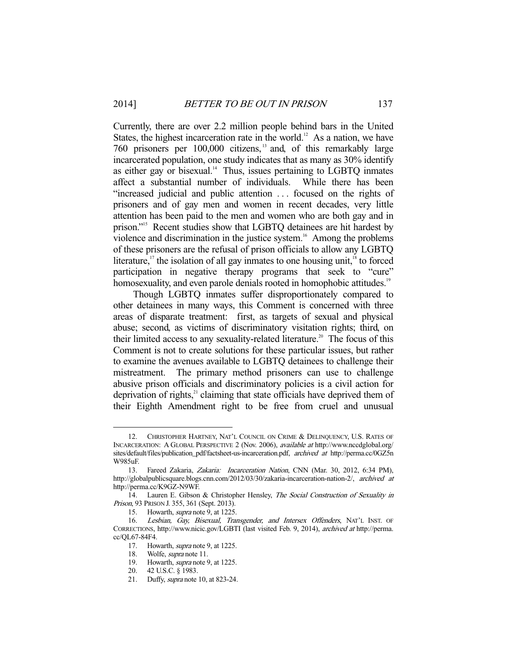Currently, there are over 2.2 million people behind bars in the United States, the highest incarceration rate in the world.<sup>12</sup> As a nation, we have 760 prisoners per 100,000 citizens, 13 and, of this remarkably large incarcerated population, one study indicates that as many as 30% identify as either gay or bisexual. $14$  Thus, issues pertaining to LGBTQ inmates affect a substantial number of individuals. While there has been "increased judicial and public attention . . . focused on the rights of prisoners and of gay men and women in recent decades, very little attention has been paid to the men and women who are both gay and in prison."<sup>15</sup> Recent studies show that LGBTQ detainees are hit hardest by violence and discrimination in the justice system.<sup>16</sup> Among the problems of these prisoners are the refusal of prison officials to allow any LGBTQ literature,<sup>17</sup> the isolation of all gay inmates to one housing unit,<sup>18</sup> to forced participation in negative therapy programs that seek to "cure" homosexuality, and even parole denials rooted in homophobic attitudes.<sup>19</sup>

 Though LGBTQ inmates suffer disproportionately compared to other detainees in many ways, this Comment is concerned with three areas of disparate treatment: first, as targets of sexual and physical abuse; second, as victims of discriminatory visitation rights; third, on their limited access to any sexuality-related literature.<sup>20</sup> The focus of this Comment is not to create solutions for these particular issues, but rather to examine the avenues available to LGBTQ detainees to challenge their mistreatment. The primary method prisoners can use to challenge abusive prison officials and discriminatory policies is a civil action for deprivation of rights, $21$  claiming that state officials have deprived them of their Eighth Amendment right to be free from cruel and unusual

 <sup>12.</sup> CHRISTOPHER HARTNEY, NAT'L COUNCIL ON CRIME & DELINQUENCY, U.S. RATES OF INCARCERATION: A GLOBAL PERSPECTIVE 2 (Nov. 2006), available at http://www.nccdglobal.org/ sites/default/files/publication\_pdf/factsheet-us-incarceration.pdf, archived at http://perma.cc/0GZ5n W985uF.

<sup>13.</sup> Fareed Zakaria, Zakaria: Incarceration Nation, CNN (Mar. 30, 2012, 6:34 PM), http://globalpublicsquare.blogs.cnn.com/2012/03/30/zakaria-incarceration-nation-2/, archived at http://perma.cc/K9GZ-N9WF.

<sup>14.</sup> Lauren E. Gibson & Christopher Hensley, The Social Construction of Sexuality in Prison, 93 PRISON J. 355, 361 (Sept. 2013).

 <sup>15.</sup> Howarth, supra note 9, at 1225.

<sup>16.</sup> Lesbian, Gay, Bisexual, Transgender, and Intersex Offenders, NAT'L INST. OF CORRECTIONS, http://www.nicic.gov/LGBTI (last visited Feb. 9, 2014), archived at http://perma. cc/QL67-84F4.

<sup>17.</sup> Howarth, *supra* note 9, at 1225.

<sup>18.</sup> Wolfe, *supra* note 11.

<sup>19.</sup> Howarth, *supra* note 9, at 1225.

 <sup>20. 42</sup> U.S.C. § 1983.

 <sup>21.</sup> Duffy, supra note 10, at 823-24.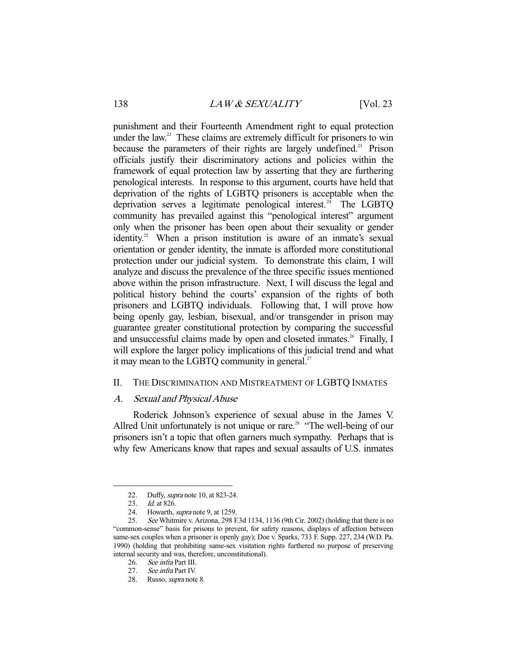punishment and their Fourteenth Amendment right to equal protection under the law.<sup>22</sup> These claims are extremely difficult for prisoners to win because the parameters of their rights are largely undefined.<sup>23</sup> Prison officials justify their discriminatory actions and policies within the framework of equal protection law by asserting that they are furthering penological interests. In response to this argument, courts have held that deprivation of the rights of LGBTQ prisoners is acceptable when the deprivation serves a legitimate penological interest.<sup>24</sup> The LGBTQ community has prevailed against this "penological interest" argument only when the prisoner has been open about their sexuality or gender identity.<sup>25</sup> When a prison institution is aware of an inmate's sexual orientation or gender identity, the inmate is afforded more constitutional protection under our judicial system. To demonstrate this claim, I will analyze and discuss the prevalence of the three specific issues mentioned above within the prison infrastructure. Next, I will discuss the legal and political history behind the courts' expansion of the rights of both prisoners and LGBTQ individuals. Following that, I will prove how being openly gay, lesbian, bisexual, and/or transgender in prison may guarantee greater constitutional protection by comparing the successful and unsuccessful claims made by open and closeted inmates.<sup>26</sup> Finally, I will explore the larger policy implications of this judicial trend and what it may mean to the LGBTQ community in general. $27$ 

## II. THE DISCRIMINATION AND MISTREATMENT OF LGBTQ INMATES

#### A. Sexual and Physical Abuse

 Roderick Johnson's experience of sexual abuse in the James V. Allred Unit unfortunately is not unique or rare.<sup>28</sup> "The well-being of our prisoners isn't a topic that often garners much sympathy. Perhaps that is why few Americans know that rapes and sexual assaults of U.S. inmates

 <sup>22.</sup> Duffy, supra note 10, at 823-24.

<sup>23.</sup> *Id.* at 826.

<sup>24.</sup> Howarth, *supra* note 9, at 1259.

 <sup>25.</sup> See Whitmire v. Arizona, 298 F.3d 1134, 1136 (9th Cir. 2002) (holding that there is no "common-sense" basis for prisons to prevent, for safety reasons, displays of affection between same-sex couples when a prisoner is openly gay); Doe v. Sparks, 733 F. Supp. 227, 234 (W.D. Pa. 1990) (holding that prohibiting same-sex visitation rights furthered no purpose of preserving internal security and was, therefore, unconstitutional).

 <sup>26.</sup> See infra Part III.

<sup>27.</sup> See infra Part IV.

 <sup>28.</sup> Russo, supra note 8.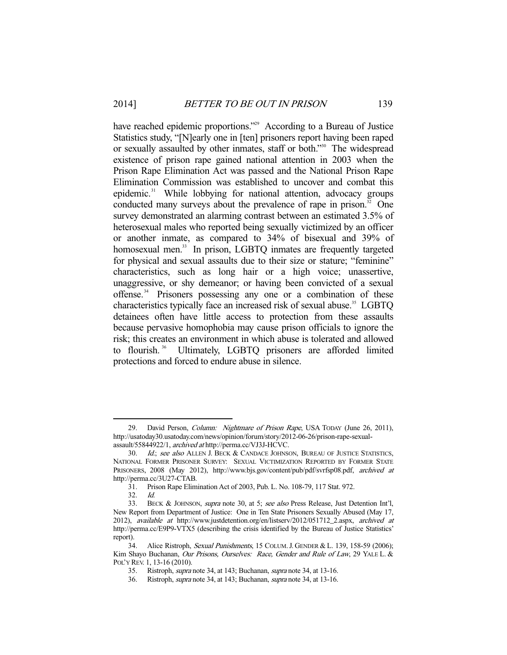have reached epidemic proportions."<sup>29</sup> According to a Bureau of Justice Statistics study, "[N]early one in [ten] prisoners report having been raped or sexually assaulted by other inmates, staff or both."30 The widespread existence of prison rape gained national attention in 2003 when the Prison Rape Elimination Act was passed and the National Prison Rape Elimination Commission was established to uncover and combat this epidemic.<sup>31</sup> While lobbying for national attention, advocacy groups conducted many surveys about the prevalence of rape in prison.<sup>32</sup> One survey demonstrated an alarming contrast between an estimated 3.5% of heterosexual males who reported being sexually victimized by an officer or another inmate, as compared to 34% of bisexual and 39% of homosexual men.<sup>33</sup> In prison, LGBTQ inmates are frequently targeted for physical and sexual assaults due to their size or stature; "feminine" characteristics, such as long hair or a high voice; unassertive, unaggressive, or shy demeanor; or having been convicted of a sexual offense.<sup>34</sup> Prisoners possessing any one or a combination of these characteristics typically face an increased risk of sexual abuse.<sup>35</sup> LGBTO detainees often have little access to protection from these assaults because pervasive homophobia may cause prison officials to ignore the risk; this creates an environment in which abuse is tolerated and allowed to flourish.<sup>36</sup> Ultimately, LGBTQ prisoners are afforded limited protections and forced to endure abuse in silence.

<sup>29.</sup> David Person, *Column: Nightmare of Prison Rape*, USA TODAY (June 26, 2011), http://usatoday30.usatoday.com/news/opinion/forum/story/2012-06-26/prison-rape-sexualassault/55844922/1, archived at http://perma.cc/VJ3J-HCVC.

<sup>30.</sup> Id.; see also ALLEN J. BECK & CANDACE JOHNSON, BUREAU OF JUSTICE STATISTICS, NATIONAL FORMER PRISONER SURVEY: SEXUAL VICTIMIZATION REPORTED BY FORMER STATE PRISONERS, 2008 (May 2012), http://www.bjs.gov/content/pub/pdf/svrfsp08.pdf, archived at http://perma.cc/3U27-CTAB.

 <sup>31.</sup> Prison Rape Elimination Act of 2003, Pub. L. No. 108-79, 117 Stat. 972.

 <sup>32.</sup> Id.

<sup>33.</sup> BECK & JOHNSON, supra note 30, at 5; see also Press Release, Just Detention Int'l, New Report from Department of Justice: One in Ten State Prisoners Sexually Abused (May 17, 2012), available at http://www.justdetention.org/en/listserv/2012/051712\_2.aspx, archived at http://perma.cc/E9P9-VTX5 (describing the crisis identified by the Bureau of Justice Statistics' report).

 <sup>34.</sup> Alice Ristroph, Sexual Punishments, 15 COLUM.J. GENDER & L. 139, 158-59 (2006); Kim Shayo Buchanan, Our Prisons, Ourselves: Race, Gender and Rule of Law, 29 YALE L. & POL'Y REV. 1, 13-16 (2010).

 <sup>35.</sup> Ristroph, supra note 34, at 143; Buchanan, supra note 34, at 13-16.

 <sup>36.</sup> Ristroph, supra note 34, at 143; Buchanan, supra note 34, at 13-16.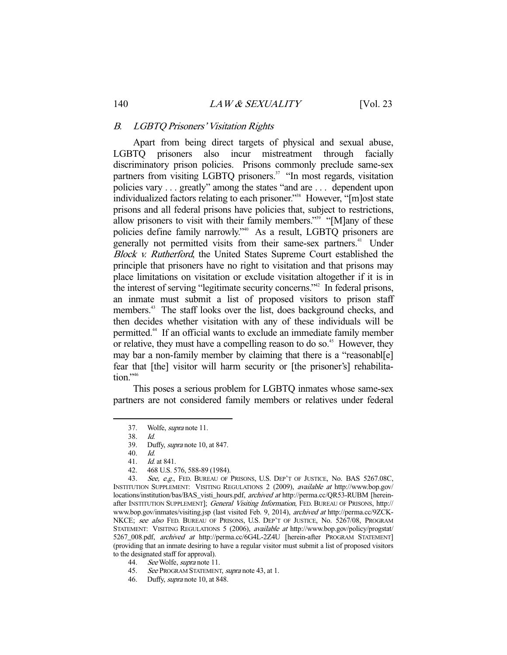#### B. LGBTQ Prisoners' Visitation Rights

 Apart from being direct targets of physical and sexual abuse, LGBTQ prisoners also incur mistreatment through facially discriminatory prison policies. Prisons commonly preclude same-sex partners from visiting LGBTQ prisoners.<sup>37</sup> "In most regards, visitation policies vary . . . greatly" among the states "and are . . . dependent upon individualized factors relating to each prisoner.<sup>338</sup> However, "[m]ost state prisons and all federal prisons have policies that, subject to restrictions, allow prisoners to visit with their family members."39 "[M]any of these policies define family narrowly."40 As a result, LGBTQ prisoners are generally not permitted visits from their same-sex partners.<sup>41</sup> Under Block v. Rutherford, the United States Supreme Court established the principle that prisoners have no right to visitation and that prisons may place limitations on visitation or exclude visitation altogether if it is in the interest of serving "legitimate security concerns."<sup>42</sup> In federal prisons, an inmate must submit a list of proposed visitors to prison staff members.<sup>43</sup> The staff looks over the list, does background checks, and then decides whether visitation with any of these individuals will be permitted.44 If an official wants to exclude an immediate family member or relative, they must have a compelling reason to do so.<sup>45</sup> However, they may bar a non-family member by claiming that there is a "reasonabl[e] fear that [the] visitor will harm security or [the prisoner's] rehabilitation."<sup>46</sup>

 This poses a serious problem for LGBTQ inmates whose same-sex partners are not considered family members or relatives under federal

 <sup>37.</sup> Wolfe, supra note 11.

 <sup>38.</sup> Id.

 <sup>39.</sup> Duffy, supra note 10, at 847.

 <sup>40.</sup> Id.

 <sup>41.</sup> Id. at 841.

 <sup>42. 468</sup> U.S. 576, 588-89 (1984).

<sup>43.</sup> See, e.g., FED. BUREAU OF PRISONS, U.S. DEP'T OF JUSTICE, No. BAS 5267.08C, INSTITUTION SUPPLEMENT: VISITING REGULATIONS 2 (2009), available at http://www.bop.gov/ locations/institution/bas/BAS\_visti\_hours.pdf, archived at http://perma.cc/QR53-RUBM [hereinafter INSTITUTION SUPPLEMENT]; General Visiting Information, FED. BUREAU OF PRISONS, http:// www.bop.gov/inmates/visiting.jsp (last visited Feb. 9, 2014), archived at http://perma.cc/9ZCK-NKCE; see also FED. BUREAU OF PRISONS, U.S. DEP'T OF JUSTICE, No. 5267/08, PROGRAM STATEMENT: VISITING REGULATIONS 5 (2006), available at http://www.bop.gov/policy/progstat/ 5267\_008.pdf, archived at http://perma.cc/6G4L-2Z4U [herein-after PROGRAM STATEMENT] (providing that an inmate desiring to have a regular visitor must submit a list of proposed visitors to the designated staff for approval).

<sup>44.</sup> See Wolfe, *supra* note 11.

<sup>45.</sup> See PROGRAM STATEMENT, supra note 43, at 1.

 <sup>46.</sup> Duffy, supra note 10, at 848.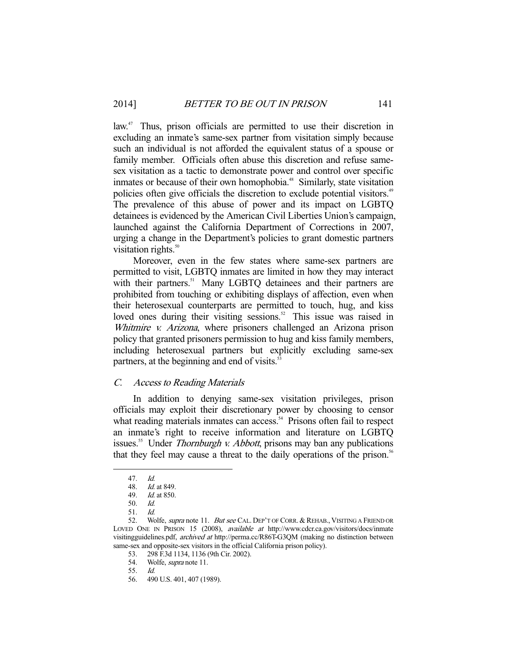law.<sup>47</sup> Thus, prison officials are permitted to use their discretion in excluding an inmate's same-sex partner from visitation simply because such an individual is not afforded the equivalent status of a spouse or family member. Officials often abuse this discretion and refuse samesex visitation as a tactic to demonstrate power and control over specific inmates or because of their own homophobia.<sup>48</sup> Similarly, state visitation policies often give officials the discretion to exclude potential visitors.<sup>49</sup> The prevalence of this abuse of power and its impact on LGBTQ detainees is evidenced by the American Civil Liberties Union's campaign, launched against the California Department of Corrections in 2007, urging a change in the Department's policies to grant domestic partners visitation rights.<sup>50</sup>

 Moreover, even in the few states where same-sex partners are permitted to visit, LGBTQ inmates are limited in how they may interact with their partners.<sup>51</sup> Many LGBTO detainees and their partners are prohibited from touching or exhibiting displays of affection, even when their heterosexual counterparts are permitted to touch, hug, and kiss loved ones during their visiting sessions.<sup>52</sup> This issue was raised in Whitmire v. Arizona, where prisoners challenged an Arizona prison policy that granted prisoners permission to hug and kiss family members, including heterosexual partners but explicitly excluding same-sex partners, at the beginning and end of visits. $55$ 

## C. Access to Reading Materials

 In addition to denying same-sex visitation privileges, prison officials may exploit their discretionary power by choosing to censor what reading materials inmates can access.<sup>54</sup> Prisons often fail to respect an inmate's right to receive information and literature on LGBTQ issues.<sup>55</sup> Under *Thornburgh v. Abbott*, prisons may ban any publications that they feel may cause a threat to the daily operations of the prison.<sup>56</sup>

 <sup>47.</sup> Id.

 <sup>48.</sup> Id. at 849.

 <sup>49.</sup> Id. at 850.

 <sup>50.</sup> Id.

 <sup>51.</sup> Id.

<sup>52.</sup> Wolfe, *supra* note 11. But see CAL. DEP'T OF CORR. & REHAB., VISITING A FRIEND OR LOVED ONE IN PRISON 15 (2008), available at http://www.cdcr.ca.gov/visitors/docs/inmate visitingguidelines.pdf, archived at http://perma.cc/R86T-G3QM (making no distinction between same-sex and opposite-sex visitors in the official California prison policy).

 <sup>53. 298</sup> F.3d 1134, 1136 (9th Cir. 2002).

<sup>54.</sup> Wolfe, *supra* note 11.

<sup>55.</sup> *Id.*<br>56. 49

<sup>490</sup> U.S. 401, 407 (1989).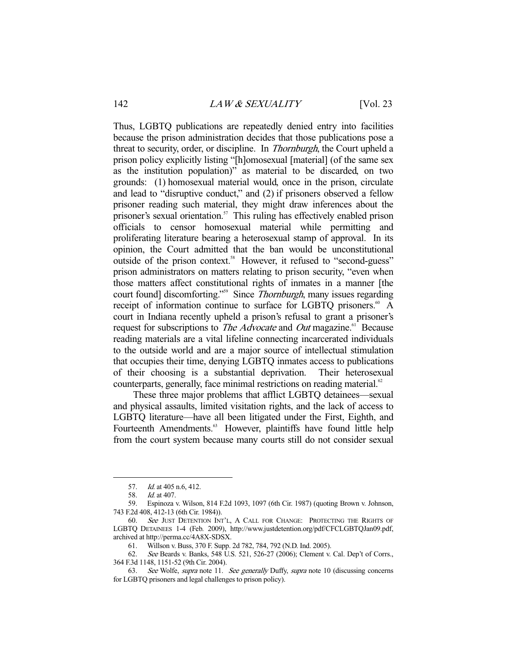Thus, LGBTQ publications are repeatedly denied entry into facilities because the prison administration decides that those publications pose a threat to security, order, or discipline. In Thornburgh, the Court upheld a prison policy explicitly listing "[h]omosexual [material] (of the same sex as the institution population)" as material to be discarded, on two grounds: (1) homosexual material would, once in the prison, circulate and lead to "disruptive conduct," and (2) if prisoners observed a fellow prisoner reading such material, they might draw inferences about the prisoner's sexual orientation.<sup>57</sup> This ruling has effectively enabled prison officials to censor homosexual material while permitting and proliferating literature bearing a heterosexual stamp of approval. In its opinion, the Court admitted that the ban would be unconstitutional outside of the prison context.<sup>58</sup> However, it refused to "second-guess" prison administrators on matters relating to prison security, "even when those matters affect constitutional rights of inmates in a manner [the court found] discomforting."<sup>59</sup> Since *Thornburgh*, many issues regarding receipt of information continue to surface for LGBTO prisoners.<sup>60</sup> A court in Indiana recently upheld a prison's refusal to grant a prisoner's request for subscriptions to *The Advocate* and *Out* magazine.<sup>61</sup> Because reading materials are a vital lifeline connecting incarcerated individuals to the outside world and are a major source of intellectual stimulation that occupies their time, denying LGBTQ inmates access to publications of their choosing is a substantial deprivation. Their heterosexual counterparts, generally, face minimal restrictions on reading material.<sup>62</sup>

 These three major problems that afflict LGBTQ detainees—sexual and physical assaults, limited visitation rights, and the lack of access to LGBTQ literature—have all been litigated under the First, Eighth, and Fourteenth Amendments.<sup>63</sup> However, plaintiffs have found little help from the court system because many courts still do not consider sexual

<sup>57.</sup> *Id.* at 405 n.6, 412.

 <sup>58.</sup> Id. at 407.

 <sup>59.</sup> Espinoza v. Wilson, 814 F.2d 1093, 1097 (6th Cir. 1987) (quoting Brown v. Johnson, 743 F.2d 408, 412-13 (6th Cir. 1984)).

<sup>60.</sup> See JUST DETENTION INT'L, A CALL FOR CHANGE: PROTECTING THE RIGHTS OF LGBTQ DETAINEES 1-4 (Feb. 2009), http://www.justdetention.org/pdf/CFCLGBTQJan09.pdf, archived at http://perma.cc/4A8X-SDSX.

 <sup>61.</sup> Willson v. Buss, 370 F. Supp. 2d 782, 784, 792 (N.D. Ind. 2005).

 <sup>62.</sup> See Beards v. Banks, 548 U.S. 521, 526-27 (2006); Clement v. Cal. Dep't of Corrs., 364 F.3d 1148, 1151-52 (9th Cir. 2004).

 <sup>63.</sup> See Wolfe, supra note 11. See generally Duffy, supra note 10 (discussing concerns for LGBTQ prisoners and legal challenges to prison policy).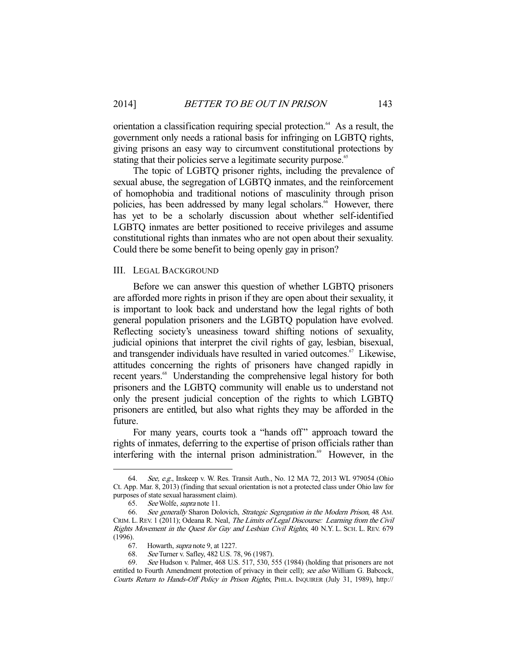orientation a classification requiring special protection.<sup>64</sup> As a result, the government only needs a rational basis for infringing on LGBTQ rights, giving prisons an easy way to circumvent constitutional protections by stating that their policies serve a legitimate security purpose.<sup>65</sup>

 The topic of LGBTQ prisoner rights, including the prevalence of sexual abuse, the segregation of LGBTQ inmates, and the reinforcement of homophobia and traditional notions of masculinity through prison policies, has been addressed by many legal scholars.<sup>66</sup> However, there has yet to be a scholarly discussion about whether self-identified LGBTQ inmates are better positioned to receive privileges and assume constitutional rights than inmates who are not open about their sexuality. Could there be some benefit to being openly gay in prison?

## III. LEGAL BACKGROUND

 Before we can answer this question of whether LGBTQ prisoners are afforded more rights in prison if they are open about their sexuality, it is important to look back and understand how the legal rights of both general population prisoners and the LGBTQ population have evolved. Reflecting society's uneasiness toward shifting notions of sexuality, judicial opinions that interpret the civil rights of gay, lesbian, bisexual, and transgender individuals have resulted in varied outcomes.<sup>67</sup> Likewise, attitudes concerning the rights of prisoners have changed rapidly in recent years.<sup>68</sup> Understanding the comprehensive legal history for both prisoners and the LGBTQ community will enable us to understand not only the present judicial conception of the rights to which LGBTQ prisoners are entitled, but also what rights they may be afforded in the future.

For many years, courts took a "hands off" approach toward the rights of inmates, deferring to the expertise of prison officials rather than interfering with the internal prison administration.<sup>69</sup> However, in the

 <sup>64.</sup> See, e.g., Inskeep v. W. Res. Transit Auth., No. 12 MA 72, 2013 WL 979054 (Ohio Ct. App. Mar. 8, 2013) (finding that sexual orientation is not a protected class under Ohio law for purposes of state sexual harassment claim).

 <sup>65.</sup> See Wolfe, supra note 11.

<sup>66.</sup> See generally Sharon Dolovich, Strategic Segregation in the Modern Prison, 48 AM. CRIM. L. REV. 1 (2011); Odeana R. Neal, The Limits of Legal Discourse: Learning from the Civil Rights Movement in the Quest for Gay and Lesbian Civil Rights, 40 N.Y. L. SCH. L. REV. 679 (1996).

 <sup>67.</sup> Howarth, supra note 9, at 1227.

 <sup>68.</sup> See Turner v. Safley, 482 U.S. 78, 96 (1987).

 <sup>69.</sup> See Hudson v. Palmer, 468 U.S. 517, 530, 555 (1984) (holding that prisoners are not entitled to Fourth Amendment protection of privacy in their cell); see also William G. Babcock, Courts Return to Hands-Off Policy in Prison Rights, PHILA. INQUIRER (July 31, 1989), http://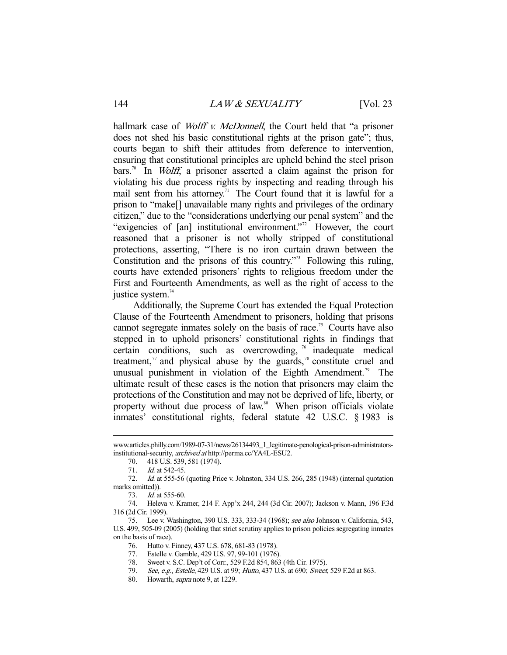hallmark case of *Wolff v. McDonnell*, the Court held that "a prisoner does not shed his basic constitutional rights at the prison gate"; thus, courts began to shift their attitudes from deference to intervention, ensuring that constitutional principles are upheld behind the steel prison bars.<sup>70</sup> In *Wolff*, a prisoner asserted a claim against the prison for violating his due process rights by inspecting and reading through his mail sent from his attorney.<sup>71</sup> The Court found that it is lawful for a prison to "make[] unavailable many rights and privileges of the ordinary citizen," due to the "considerations underlying our penal system" and the "exigencies of [an] institutional environment."<sup>72</sup> However, the court reasoned that a prisoner is not wholly stripped of constitutional protections, asserting, "There is no iron curtain drawn between the Constitution and the prisons of this country.<sup> $73$ </sup> Following this ruling, courts have extended prisoners' rights to religious freedom under the First and Fourteenth Amendments, as well as the right of access to the justice system. $74$ 

 Additionally, the Supreme Court has extended the Equal Protection Clause of the Fourteenth Amendment to prisoners, holding that prisons cannot segregate inmates solely on the basis of race.<sup>75</sup> Courts have also stepped in to uphold prisoners' constitutional rights in findings that certain conditions, such as overcrowding,  $\frac{1}{6}$  inadequate medical treatment, $\pi$  and physical abuse by the guards, $\pi$ <sup>8</sup> constitute cruel and unusual punishment in violation of the Eighth Amendment.<sup>79</sup> The ultimate result of these cases is the notion that prisoners may claim the protections of the Constitution and may not be deprived of life, liberty, or property without due process of law.<sup>80</sup> When prison officials violate inmates' constitutional rights, federal statute 42 U.S.C. § 1983 is

www.articles.philly.com/1989-07-31/news/26134493\_1\_legitimate-penological-prison-administratorsinstitutional-security, archived at http://perma.cc/YA4L-ESU2.

 <sup>70. 418</sup> U.S. 539, 581 (1974).

 <sup>71.</sup> Id. at 542-45.

 <sup>72.</sup> Id. at 555-56 (quoting Price v. Johnston, 334 U.S. 266, 285 (1948) (internal quotation marks omitted)).

 <sup>73.</sup> Id. at 555-60.

 <sup>74.</sup> Heleva v. Kramer, 214 F. App'x 244, 244 (3d Cir. 2007); Jackson v. Mann, 196 F.3d 316 (2d Cir. 1999).

 <sup>75.</sup> Lee v. Washington, 390 U.S. 333, 333-34 (1968); see also Johnson v. California, 543, U.S. 499, 505-09 (2005) (holding that strict scrutiny applies to prison policies segregating inmates on the basis of race).

 <sup>76.</sup> Hutto v. Finney, 437 U.S. 678, 681-83 (1978).

 <sup>77.</sup> Estelle v. Gamble, 429 U.S. 97, 99-101 (1976).

 <sup>78.</sup> Sweet v. S.C. Dep't of Corr., 529 F.2d 854, 863 (4th Cir. 1975).

<sup>79.</sup> See, e.g., Estelle, 429 U.S. at 99; Hutto, 437 U.S. at 690; Sweet, 529 F.2d at 863.

 <sup>80.</sup> Howarth, supra note 9, at 1229.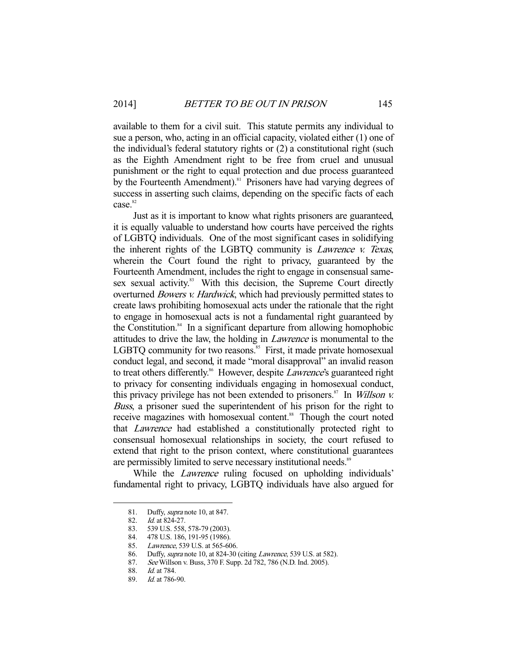available to them for a civil suit. This statute permits any individual to sue a person, who, acting in an official capacity, violated either (1) one of the individual's federal statutory rights or (2) a constitutional right (such as the Eighth Amendment right to be free from cruel and unusual punishment or the right to equal protection and due process guaranteed by the Fourteenth Amendment).<sup>81</sup> Prisoners have had varying degrees of success in asserting such claims, depending on the specific facts of each case.<sup>82</sup>

 Just as it is important to know what rights prisoners are guaranteed, it is equally valuable to understand how courts have perceived the rights of LGBTQ individuals. One of the most significant cases in solidifying the inherent rights of the LGBTQ community is Lawrence v. Texas, wherein the Court found the right to privacy, guaranteed by the Fourteenth Amendment, includes the right to engage in consensual samesex sexual activity.<sup>83</sup> With this decision, the Supreme Court directly overturned Bowers v. Hardwick, which had previously permitted states to create laws prohibiting homosexual acts under the rationale that the right to engage in homosexual acts is not a fundamental right guaranteed by the Constitution. $84$  In a significant departure from allowing homophobic attitudes to drive the law, the holding in Lawrence is monumental to the LGBTQ community for two reasons.<sup>85</sup> First, it made private homosexual conduct legal, and second, it made "moral disapproval" an invalid reason to treat others differently.<sup>86</sup> However, despite *Lawrence's* guaranteed right to privacy for consenting individuals engaging in homosexual conduct, this privacy privilege has not been extended to prisoners.<sup>87</sup> In *Willson v.* Buss, a prisoner sued the superintendent of his prison for the right to receive magazines with homosexual content.<sup>88</sup> Though the court noted that Lawrence had established a constitutionally protected right to consensual homosexual relationships in society, the court refused to extend that right to the prison context, where constitutional guarantees are permissibly limited to serve necessary institutional needs.<sup>89</sup>

While the *Lawrence* ruling focused on upholding individuals' fundamental right to privacy, LGBTQ individuals have also argued for

<sup>81.</sup> Duffy, *supra* note 10, at 847.

 <sup>82.</sup> Id. at 824-27.

 <sup>83. 539</sup> U.S. 558, 578-79 (2003).

 <sup>84. 478</sup> U.S. 186, 191-95 (1986).

<sup>85.</sup> Lawrence, 539 U.S. at 565-606.

 <sup>86.</sup> Duffy, supra note 10, at 824-30 (citing Lawrence, 539 U.S. at 582).

 <sup>87.</sup> See Willson v. Buss, 370 F. Supp. 2d 782, 786 (N.D. Ind. 2005).

 <sup>88.</sup> Id. at 784.

 <sup>89.</sup> Id. at 786-90.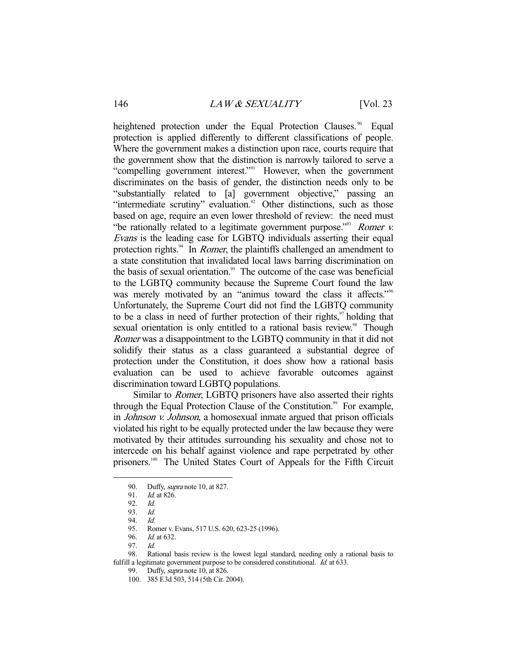heightened protection under the Equal Protection Clauses.<sup>90</sup> Equal protection is applied differently to different classifications of people. Where the government makes a distinction upon race, courts require that the government show that the distinction is narrowly tailored to serve a "compelling government interest."91 However, when the government discriminates on the basis of gender, the distinction needs only to be "substantially related to [a] government objective," passing an "intermediate scrutiny" evaluation.<sup>92</sup> Other distinctions, such as those based on age, require an even lower threshold of review: the need must "be rationally related to a legitimate government purpose."<sup>93</sup> Romer  $v$ . Evans is the leading case for LGBTQ individuals asserting their equal protection rights.<sup>94</sup> In *Romer*, the plaintiffs challenged an amendment to a state constitution that invalidated local laws barring discrimination on the basis of sexual orientation.<sup>95</sup> The outcome of the case was beneficial to the LGBTQ community because the Supreme Court found the law was merely motivated by an "animus toward the class it affects."<sup>96</sup> Unfortunately, the Supreme Court did not find the LGBTQ community to be a class in need of further protection of their rights, $\frac{97}{7}$  holding that sexual orientation is only entitled to a rational basis review.<sup>98</sup> Though Romer was a disappointment to the LGBTQ community in that it did not solidify their status as a class guaranteed a substantial degree of protection under the Constitution, it does show how a rational basis evaluation can be used to achieve favorable outcomes against discrimination toward LGBTQ populations.

 Similar to Romer, LGBTQ prisoners have also asserted their rights through the Equal Protection Clause of the Constitution.<sup>99</sup> For example, in Johnson v. Johnson, a homosexual inmate argued that prison officials violated his right to be equally protected under the law because they were motivated by their attitudes surrounding his sexuality and chose not to intercede on his behalf against violence and rape perpetrated by other prisoners.100 The United States Court of Appeals for the Fifth Circuit

-

97. Id.

<sup>90.</sup> Duffy, *supra* note 10, at 827.

 <sup>91.</sup> Id. at 826.

 <sup>92.</sup> Id.

 <sup>93.</sup> Id.

 <sup>94.</sup> Id.

 <sup>95.</sup> Romer v. Evans, 517 U.S. 620, 623-25 (1996).

 <sup>96.</sup> Id. at 632.

 <sup>98.</sup> Rational basis review is the lowest legal standard, needing only a rational basis to fulfill a legitimate government purpose to be considered constitutional. *Id.* at 633.

<sup>99.</sup> Duffy, *supra* note 10, at 826.

 <sup>100. 385</sup> F.3d 503, 514 (5th Cir. 2004).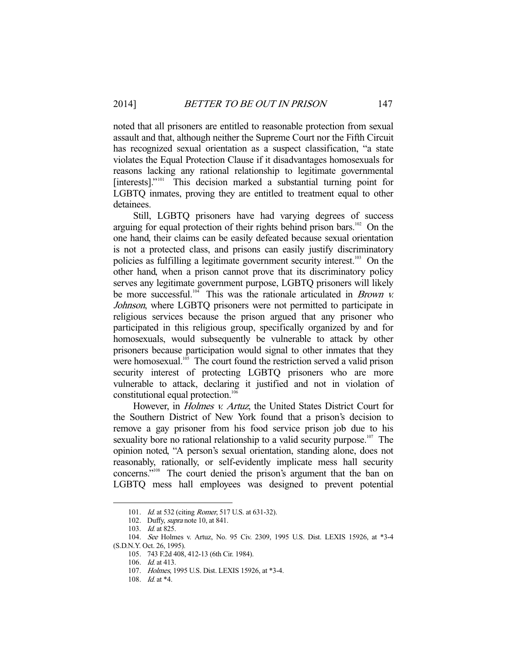noted that all prisoners are entitled to reasonable protection from sexual assault and that, although neither the Supreme Court nor the Fifth Circuit has recognized sexual orientation as a suspect classification, "a state violates the Equal Protection Clause if it disadvantages homosexuals for reasons lacking any rational relationship to legitimate governmental [interests]."<sup>101</sup> This decision marked a substantial turning point for LGBTQ inmates, proving they are entitled to treatment equal to other detainees.

 Still, LGBTQ prisoners have had varying degrees of success arguing for equal protection of their rights behind prison bars.<sup>102</sup> On the one hand, their claims can be easily defeated because sexual orientation is not a protected class, and prisons can easily justify discriminatory policies as fulfilling a legitimate government security interest.103 On the other hand, when a prison cannot prove that its discriminatory policy serves any legitimate government purpose, LGBTQ prisoners will likely be more successful.<sup>104</sup> This was the rationale articulated in *Brown v.* Johnson, where LGBTQ prisoners were not permitted to participate in religious services because the prison argued that any prisoner who participated in this religious group, specifically organized by and for homosexuals, would subsequently be vulnerable to attack by other prisoners because participation would signal to other inmates that they were homosexual.<sup>105</sup> The court found the restriction served a valid prison security interest of protecting LGBTQ prisoners who are more vulnerable to attack, declaring it justified and not in violation of constitutional equal protection.<sup>106</sup>

However, in *Holmes v. Artuz*, the United States District Court for the Southern District of New York found that a prison's decision to remove a gay prisoner from his food service prison job due to his sexuality bore no rational relationship to a valid security purpose.<sup>107</sup> The opinion noted, "A person's sexual orientation, standing alone, does not reasonably, rationally, or self-evidently implicate mess hall security concerns."<sup>108</sup> The court denied the prison's argument that the ban on LGBTQ mess hall employees was designed to prevent potential

<sup>101.</sup> *Id.* at 532 (citing *Romer*, 517 U.S. at 631-32).

 <sup>102.</sup> Duffy, supra note 10, at 841.

 <sup>103.</sup> Id. at 825.

 <sup>104.</sup> See Holmes v. Artuz, No. 95 Civ. 2309, 1995 U.S. Dist. LEXIS 15926, at \*3-4 (S.D.N.Y. Oct. 26, 1995).

 <sup>105. 743</sup> F.2d 408, 412-13 (6th Cir. 1984).

<sup>106.</sup> *Id.* at 413.

 <sup>107.</sup> Holmes, 1995 U.S. Dist. LEXIS 15926, at \*3-4.

 <sup>108.</sup> Id. at \*4.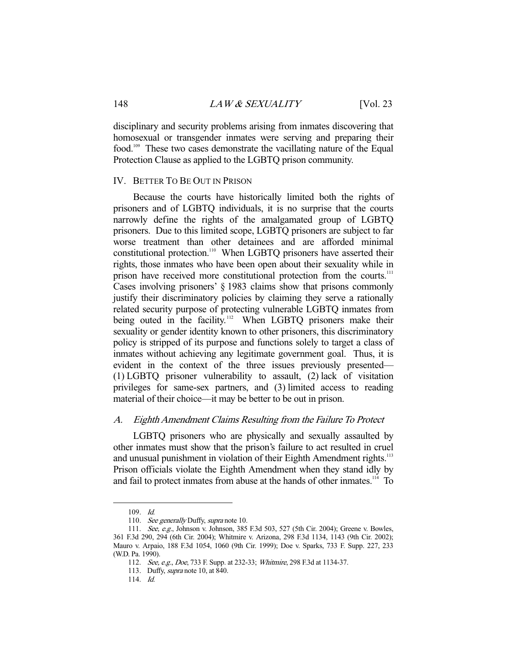disciplinary and security problems arising from inmates discovering that homosexual or transgender inmates were serving and preparing their food.<sup>109</sup> These two cases demonstrate the vacillating nature of the Equal Protection Clause as applied to the LGBTQ prison community.

#### IV. BETTER TO BE OUT IN PRISON

 Because the courts have historically limited both the rights of prisoners and of LGBTQ individuals, it is no surprise that the courts narrowly define the rights of the amalgamated group of LGBTQ prisoners. Due to this limited scope, LGBTQ prisoners are subject to far worse treatment than other detainees and are afforded minimal constitutional protection.<sup>110</sup> When LGBTQ prisoners have asserted their rights, those inmates who have been open about their sexuality while in prison have received more constitutional protection from the courts.<sup>111</sup> Cases involving prisoners' § 1983 claims show that prisons commonly justify their discriminatory policies by claiming they serve a rationally related security purpose of protecting vulnerable LGBTQ inmates from being outed in the facility.<sup>112</sup> When LGBTO prisoners make their sexuality or gender identity known to other prisoners, this discriminatory policy is stripped of its purpose and functions solely to target a class of inmates without achieving any legitimate government goal. Thus, it is evident in the context of the three issues previously presented— (1) LGBTQ prisoner vulnerability to assault, (2) lack of visitation privileges for same-sex partners, and (3) limited access to reading material of their choice—it may be better to be out in prison.

## A. Eighth Amendment Claims Resulting from the Failure To Protect

 LGBTQ prisoners who are physically and sexually assaulted by other inmates must show that the prison's failure to act resulted in cruel and unusual punishment in violation of their Eighth Amendment rights.<sup>113</sup> Prison officials violate the Eighth Amendment when they stand idly by and fail to protect inmates from abuse at the hands of other inmates.<sup>114</sup> To

 <sup>109.</sup> Id.

<sup>110.</sup> See generally Duffy, supra note 10.

 <sup>111.</sup> See, e.g., Johnson v. Johnson, 385 F.3d 503, 527 (5th Cir. 2004); Greene v. Bowles, 361 F.3d 290, 294 (6th Cir. 2004); Whitmire v. Arizona, 298 F.3d 1134, 1143 (9th Cir. 2002); Mauro v. Arpaio, 188 F.3d 1054, 1060 (9th Cir. 1999); Doe v. Sparks, 733 F. Supp. 227, 233 (W.D. Pa. 1990).

<sup>112.</sup> See, e.g., Doe, 733 F. Supp. at 232-33; Whitmire, 298 F.3d at 1134-37.

 <sup>113.</sup> Duffy, supra note 10, at 840.

 <sup>114.</sup> Id.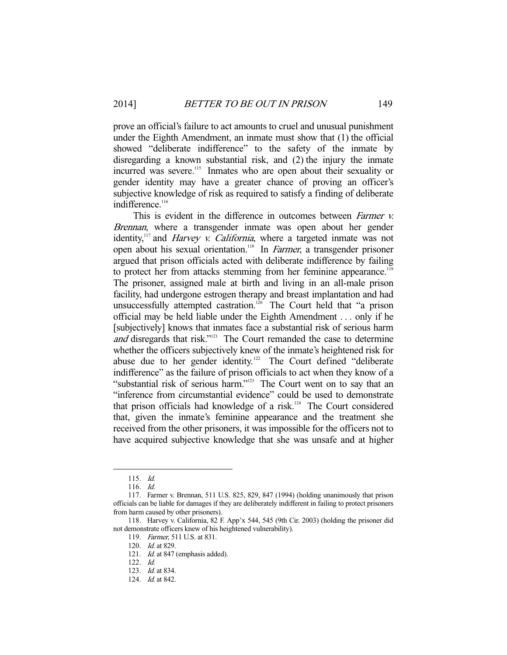prove an official's failure to act amounts to cruel and unusual punishment under the Eighth Amendment, an inmate must show that (1) the official showed "deliberate indifference" to the safety of the inmate by disregarding a known substantial risk, and (2) the injury the inmate incurred was severe.<sup>115</sup> Inmates who are open about their sexuality or gender identity may have a greater chance of proving an officer's subjective knowledge of risk as required to satisfy a finding of deliberate indifference.<sup>116</sup>

This is evident in the difference in outcomes between *Farmer v.* Brennan, where a transgender inmate was open about her gender identity,<sup>117</sup> and *Harvey v. California*, where a targeted inmate was not open about his sexual orientation.118 In Farmer, a transgender prisoner argued that prison officials acted with deliberate indifference by failing to protect her from attacks stemming from her feminine appearance.<sup>119</sup> The prisoner, assigned male at birth and living in an all-male prison facility, had undergone estrogen therapy and breast implantation and had unsuccessfully attempted castration.<sup>120</sup> The Court held that "a prison official may be held liable under the Eighth Amendment . . . only if he [subjectively] knows that inmates face a substantial risk of serious harm and disregards that risk."<sup>121</sup> The Court remanded the case to determine whether the officers subjectively knew of the inmate's heightened risk for abuse due to her gender identity.<sup>122</sup> The Court defined "deliberate indifference" as the failure of prison officials to act when they know of a "substantial risk of serious harm."<sup>123</sup> The Court went on to say that an "inference from circumstantial evidence" could be used to demonstrate that prison officials had knowledge of a risk.<sup>124</sup> The Court considered that, given the inmate's feminine appearance and the treatment she received from the other prisoners, it was impossible for the officers not to have acquired subjective knowledge that she was unsafe and at higher

 <sup>115.</sup> Id.

 <sup>116.</sup> Id.

 <sup>117.</sup> Farmer v. Brennan, 511 U.S. 825, 829, 847 (1994) (holding unanimously that prison officials can be liable for damages if they are deliberately indifferent in failing to protect prisoners from harm caused by other prisoners).

 <sup>118.</sup> Harvey v. California, 82 F. App'x 544, 545 (9th Cir. 2003) (holding the prisoner did not demonstrate officers knew of his heightened vulnerability).

 <sup>119.</sup> Farmer, 511 U.S. at 831.

<sup>120.</sup> *Id.* at 829.

<sup>121.</sup> *Id.* at 847 (emphasis added).

 <sup>122.</sup> Id.

 <sup>123.</sup> Id. at 834.

<sup>124.</sup> *Id.* at 842.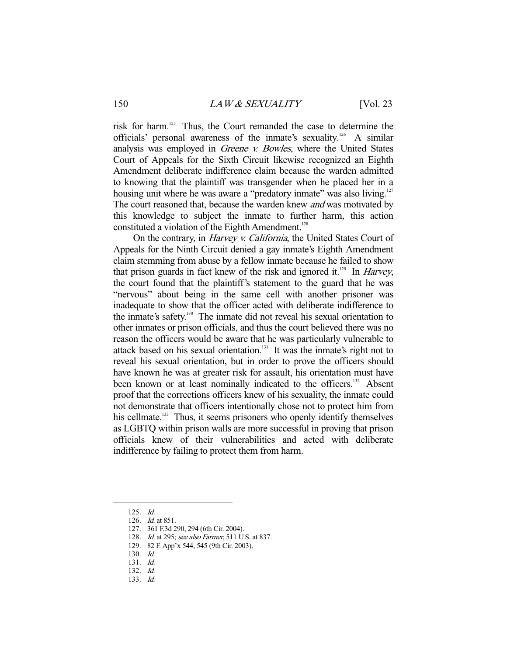risk for harm.125 Thus, the Court remanded the case to determine the officials' personal awareness of the inmate's sexuality.126 A similar analysis was employed in *Greene v. Bowles*, where the United States Court of Appeals for the Sixth Circuit likewise recognized an Eighth Amendment deliberate indifference claim because the warden admitted to knowing that the plaintiff was transgender when he placed her in a housing unit where he was aware a "predatory inmate" was also living.<sup>127</sup> The court reasoned that, because the warden knew *and* was motivated by this knowledge to subject the inmate to further harm, this action constituted a violation of the Eighth Amendment.<sup>128</sup>

On the contrary, in *Harvey v. California*, the United States Court of Appeals for the Ninth Circuit denied a gay inmate's Eighth Amendment claim stemming from abuse by a fellow inmate because he failed to show that prison guards in fact knew of the risk and ignored it.<sup>129</sup> In *Harvey*, the court found that the plaintiff's statement to the guard that he was "nervous" about being in the same cell with another prisoner was inadequate to show that the officer acted with deliberate indifference to the inmate's safety.<sup>130</sup> The inmate did not reveal his sexual orientation to other inmates or prison officials, and thus the court believed there was no reason the officers would be aware that he was particularly vulnerable to attack based on his sexual orientation.<sup>131</sup> It was the inmate's right not to reveal his sexual orientation, but in order to prove the officers should have known he was at greater risk for assault, his orientation must have been known or at least nominally indicated to the officers.<sup>132</sup> Absent proof that the corrections officers knew of his sexuality, the inmate could not demonstrate that officers intentionally chose not to protect him from his cellmate.<sup>133</sup> Thus, it seems prisoners who openly identify themselves as LGBTQ within prison walls are more successful in proving that prison officials knew of their vulnerabilities and acted with deliberate indifference by failing to protect them from harm.

 <sup>125.</sup> Id.

 <sup>126.</sup> Id. at 851.

 <sup>127. 361</sup> F.3d 290, 294 (6th Cir. 2004).

<sup>128.</sup> *Id.* at 295; see also Farmer, 511 U.S. at 837.

 <sup>129. 82</sup> F. App'x 544, 545 (9th Cir. 2003).

 <sup>130.</sup> Id.

 <sup>131.</sup> Id.

 <sup>132.</sup> Id.

 <sup>133.</sup> Id.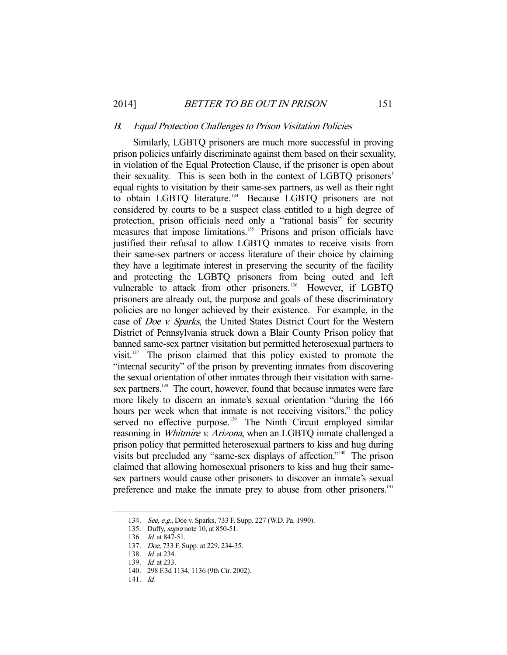#### B. Equal Protection Challenges to Prison Visitation Policies

 Similarly, LGBTQ prisoners are much more successful in proving prison policies unfairly discriminate against them based on their sexuality, in violation of the Equal Protection Clause, if the prisoner is open about their sexuality. This is seen both in the context of LGBTQ prisoners' equal rights to visitation by their same-sex partners, as well as their right to obtain LGBTQ literature.<sup>134</sup> Because LGBTQ prisoners are not considered by courts to be a suspect class entitled to a high degree of protection, prison officials need only a "rational basis" for security measures that impose limitations.<sup>135</sup> Prisons and prison officials have justified their refusal to allow LGBTQ inmates to receive visits from their same-sex partners or access literature of their choice by claiming they have a legitimate interest in preserving the security of the facility and protecting the LGBTQ prisoners from being outed and left vulnerable to attack from other prisoners.<sup>136</sup> However, if LGBTQ prisoners are already out, the purpose and goals of these discriminatory policies are no longer achieved by their existence. For example, in the case of Doe v. Sparks, the United States District Court for the Western District of Pennsylvania struck down a Blair County Prison policy that banned same-sex partner visitation but permitted heterosexual partners to visit.137 The prison claimed that this policy existed to promote the "internal security" of the prison by preventing inmates from discovering the sexual orientation of other inmates through their visitation with samesex partners.<sup>138</sup> The court, however, found that because inmates were fare more likely to discern an inmate's sexual orientation "during the 166 hours per week when that inmate is not receiving visitors," the policy served no effective purpose.<sup>139</sup> The Ninth Circuit employed similar reasoning in *Whitmire v. Arizona*, when an LGBTQ inmate challenged a prison policy that permitted heterosexual partners to kiss and hug during visits but precluded any "same-sex displays of affection."140 The prison claimed that allowing homosexual prisoners to kiss and hug their samesex partners would cause other prisoners to discover an inmate's sexual preference and make the inmate prey to abuse from other prisoners.<sup>141</sup>

 <sup>134.</sup> See, e.g., Doe v. Sparks, 733 F. Supp. 227 (W.D. Pa. 1990).

 <sup>135.</sup> Duffy, supra note 10, at 850-51.

 <sup>136.</sup> Id. at 847-51.

 <sup>137.</sup> Doe, 733 F. Supp. at 229, 234-35.

<sup>138.</sup> *Id.* at 234.

<sup>139.</sup> *Id.* at 233.

 <sup>140. 298</sup> F.3d 1134, 1136 (9th Cir. 2002).

 <sup>141.</sup> Id.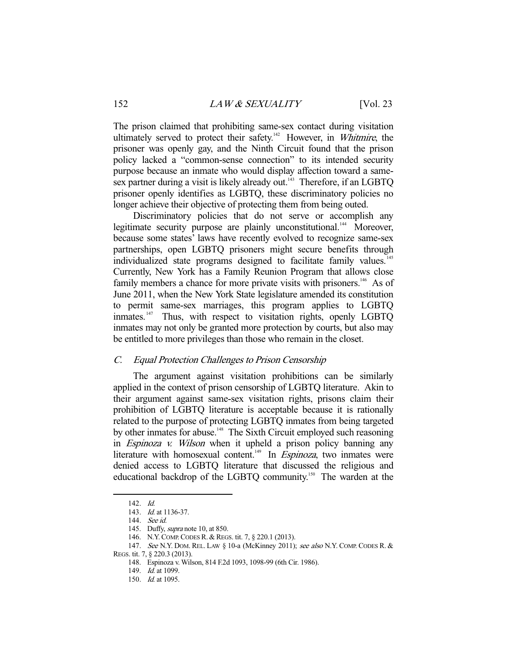The prison claimed that prohibiting same-sex contact during visitation ultimately served to protect their safety.<sup>142</sup> However, in Whitmire, the prisoner was openly gay, and the Ninth Circuit found that the prison policy lacked a "common-sense connection" to its intended security purpose because an inmate who would display affection toward a samesex partner during a visit is likely already out.<sup>143</sup> Therefore, if an LGBTQ prisoner openly identifies as LGBTQ, these discriminatory policies no longer achieve their objective of protecting them from being outed.

 Discriminatory policies that do not serve or accomplish any legitimate security purpose are plainly unconstitutional.<sup>144</sup> Moreover, because some states' laws have recently evolved to recognize same-sex partnerships, open LGBTQ prisoners might secure benefits through individualized state programs designed to facilitate family values.<sup>145</sup> Currently, New York has a Family Reunion Program that allows close family members a chance for more private visits with prisoners.<sup>146</sup> As of June 2011, when the New York State legislature amended its constitution to permit same-sex marriages, this program applies to LGBTQ inmates.<sup>147</sup> Thus, with respect to visitation rights, openly LGBTQ inmates may not only be granted more protection by courts, but also may be entitled to more privileges than those who remain in the closet.

## C. Equal Protection Challenges to Prison Censorship

 The argument against visitation prohibitions can be similarly applied in the context of prison censorship of LGBTQ literature. Akin to their argument against same-sex visitation rights, prisons claim their prohibition of LGBTQ literature is acceptable because it is rationally related to the purpose of protecting LGBTQ inmates from being targeted by other inmates for abuse.<sup>148</sup> The Sixth Circuit employed such reasoning in Espinoza v. Wilson when it upheld a prison policy banning any literature with homosexual content.<sup>149</sup> In *Espinoza*, two inmates were denied access to LGBTQ literature that discussed the religious and educational backdrop of the LGBTQ community.<sup>150</sup> The warden at the

 <sup>142.</sup> Id.

 <sup>143.</sup> Id. at 1136-37.

 <sup>144.</sup> See id.

 <sup>145.</sup> Duffy, supra note 10, at 850.

 <sup>146.</sup> N.Y.COMP.CODES R.& REGS. tit. 7, § 220.1 (2013).

<sup>147.</sup> See N.Y. DOM. REL. LAW § 10-a (McKinney 2011); see also N.Y. COMP. CODES R. & REGS. tit. 7, § 220.3 (2013).

 <sup>148.</sup> Espinoza v. Wilson, 814 F.2d 1093, 1098-99 (6th Cir. 1986).

<sup>149.</sup> *Id.* at 1099.

 <sup>150.</sup> Id. at 1095.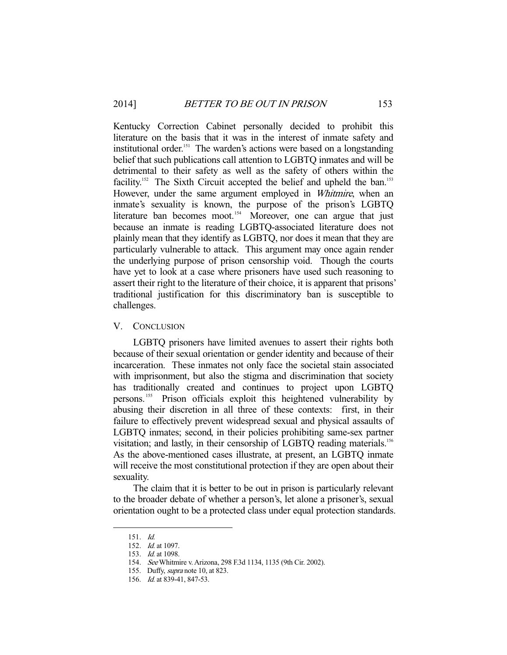Kentucky Correction Cabinet personally decided to prohibit this literature on the basis that it was in the interest of inmate safety and institutional order.<sup>151</sup> The warden's actions were based on a longstanding belief that such publications call attention to LGBTQ inmates and will be detrimental to their safety as well as the safety of others within the facility.<sup>152</sup> The Sixth Circuit accepted the belief and upheld the ban.<sup>153</sup> However, under the same argument employed in *Whitmire*, when an inmate's sexuality is known, the purpose of the prison's LGBTQ literature ban becomes moot.<sup>154</sup> Moreover, one can argue that just because an inmate is reading LGBTQ-associated literature does not plainly mean that they identify as LGBTQ, nor does it mean that they are particularly vulnerable to attack. This argument may once again render the underlying purpose of prison censorship void. Though the courts have yet to look at a case where prisoners have used such reasoning to assert their right to the literature of their choice, it is apparent that prisons' traditional justification for this discriminatory ban is susceptible to challenges.

### V. CONCLUSION

 LGBTQ prisoners have limited avenues to assert their rights both because of their sexual orientation or gender identity and because of their incarceration. These inmates not only face the societal stain associated with imprisonment, but also the stigma and discrimination that society has traditionally created and continues to project upon LGBTQ persons. 155 Prison officials exploit this heightened vulnerability by abusing their discretion in all three of these contexts: first, in their failure to effectively prevent widespread sexual and physical assaults of LGBTQ inmates; second, in their policies prohibiting same-sex partner visitation; and lastly, in their censorship of LGBTQ reading materials.<sup>156</sup> As the above-mentioned cases illustrate, at present, an LGBTQ inmate will receive the most constitutional protection if they are open about their sexuality.

 The claim that it is better to be out in prison is particularly relevant to the broader debate of whether a person's, let alone a prisoner's, sexual orientation ought to be a protected class under equal protection standards.

 <sup>151.</sup> Id.

 <sup>152.</sup> Id. at 1097.

 <sup>153.</sup> Id. at 1098.

 <sup>154.</sup> See Whitmire v. Arizona, 298 F.3d 1134, 1135 (9th Cir. 2002).

 <sup>155.</sup> Duffy, supra note 10, at 823.

 <sup>156.</sup> Id. at 839-41, 847-53.